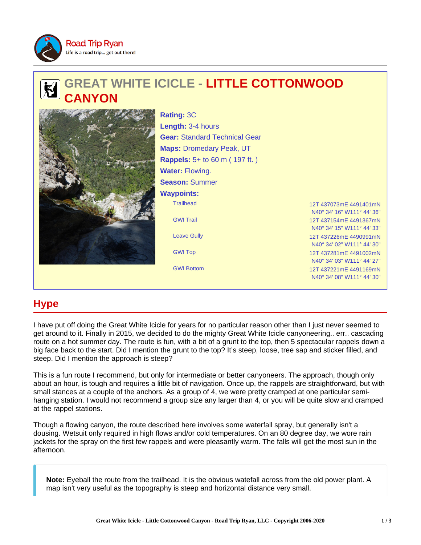

# **GREAT WHITE ICICLE - LITTLE COTTONWOOD CANYON**



Trailhead 12T 437073mE 4491401mN GWI Trail 12T 437154mE 4491367mN Leave Gully 12T 437226mF 4490991mN **Rating:** 3C **Length:** 3-4 hours **Gear:** Standard Technical Gear **Maps:** Dromedary Peak, UT **Rappels:** 5+ to 60 m ( 197 ft. ) **Water:** Flowing. **Season:** Summer **Waypoints:**

N40° 34' 16" W111° 44' 36" N40° 34' 15" W111° 44' 33" N40° 34' 02" W111° 44' 30" GWI Top 12T 437281mE 4491002mN N40° 34' 03" W111° 44' 27" GWI Bottom 12T 437221mE 4491169mN N40° 34' 08" W111° 44' 30"

## **Hype**

I have put off doing the Great White Icicle for years for no particular reason other than I just never seemed to get around to it. Finally in 2015, we decided to do the mighty Great White Icicle canyoneering.. err.. cascading route on a hot summer day. The route is fun, with a bit of a grunt to the top, then 5 spectacular rappels down a big face back to the start. Did I mention the grunt to the top? It's steep, loose, tree sap and sticker filled, and steep. Did I mention the approach is steep?

This is a fun route I recommend, but only for intermediate or better canyoneers. The approach, though only about an hour, is tough and requires a little bit of navigation. Once up, the rappels are straightforward, but with small stances at a couple of the anchors. As a group of 4, we were pretty cramped at one particular semihanging station. I would not recommend a group size any larger than 4, or you will be quite slow and cramped at the rappel stations.

Though a flowing canyon, the route described here involves some waterfall spray, but generally isn't a dousing. Wetsuit only required in high flows and/or cold temperatures. On an 80 degree day, we wore rain jackets for the spray on the first few rappels and were pleasantly warm. The falls will get the most sun in the afternoon.

**Note:** Eyeball the route from the trailhead. It is the obvious watefall across from the old power plant. A map isn't very useful as the topography is steep and horizontal distance very small.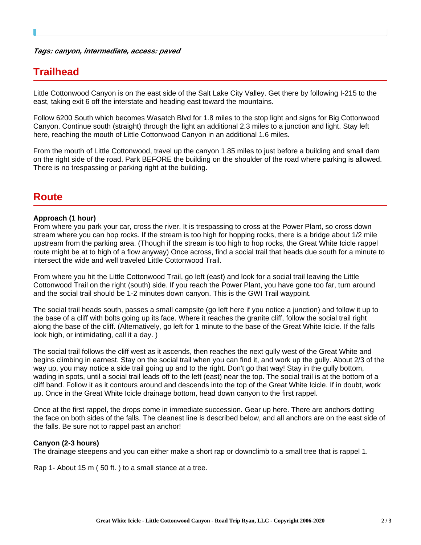#### **Tags: canyon, intermediate, access: paved**

### **Trailhead**

Little Cottonwood Canyon is on the east side of the Salt Lake City Valley. Get there by following I-215 to the east, taking exit 6 off the interstate and heading east toward the mountains.

Follow 6200 South which becomes Wasatch Blvd for 1.8 miles to the stop light and signs for Big Cottonwood Canyon. Continue south (straight) through the light an additional 2.3 miles to a junction and light. Stay left here, reaching the mouth of Little Cottonwood Canyon in an additional 1.6 miles.

From the mouth of Little Cottonwood, travel up the canyon 1.85 miles to just before a building and small dam on the right side of the road. Park BEFORE the building on the shoulder of the road where parking is allowed. There is no trespassing or parking right at the building.

### **Route**

### **Approach (1 hour)**

From where you park your car, cross the river. It is trespassing to cross at the Power Plant, so cross down stream where you can hop rocks. If the stream is too high for hopping rocks, there is a bridge about 1/2 mile upstream from the parking area. (Though if the stream is too high to hop rocks, the Great White Icicle rappel route might be at to high of a flow anyway) Once across, find a social trail that heads due south for a minute to intersect the wide and well traveled Little Cottonwood Trail.

From where you hit the Little Cottonwood Trail, go left (east) and look for a social trail leaving the Little Cottonwood Trail on the right (south) side. If you reach the Power Plant, you have gone too far, turn around and the social trail should be 1-2 minutes down canyon. This is the GWI Trail waypoint.

The social trail heads south, passes a small campsite (go left here if you notice a junction) and follow it up to the base of a cliff with bolts going up its face. Where it reaches the granite cliff, follow the social trail right along the base of the cliff. (Alternatively, go left for 1 minute to the base of the Great White Icicle. If the falls look high, or intimidating, call it a day. )

The social trail follows the cliff west as it ascends, then reaches the next gully west of the Great White and begins climbing in earnest. Stay on the social trail when you can find it, and work up the gully. About 2/3 of the way up, you may notice a side trail going up and to the right. Don't go that way! Stay in the gully bottom, wading in spots, until a social trail leads off to the left (east) near the top. The social trail is at the bottom of a cliff band. Follow it as it contours around and descends into the top of the Great White Icicle. If in doubt, work up. Once in the Great White Icicle drainage bottom, head down canyon to the first rappel.

Once at the first rappel, the drops come in immediate succession. Gear up here. There are anchors dotting the face on both sides of the falls. The cleanest line is described below, and all anchors are on the east side of the falls. Be sure not to rappel past an anchor!

### **Canyon (2-3 hours)**

The drainage steepens and you can either make a short rap or downclimb to a small tree that is rappel 1.

Rap 1- About 15 m ( 50 ft. ) to a small stance at a tree.